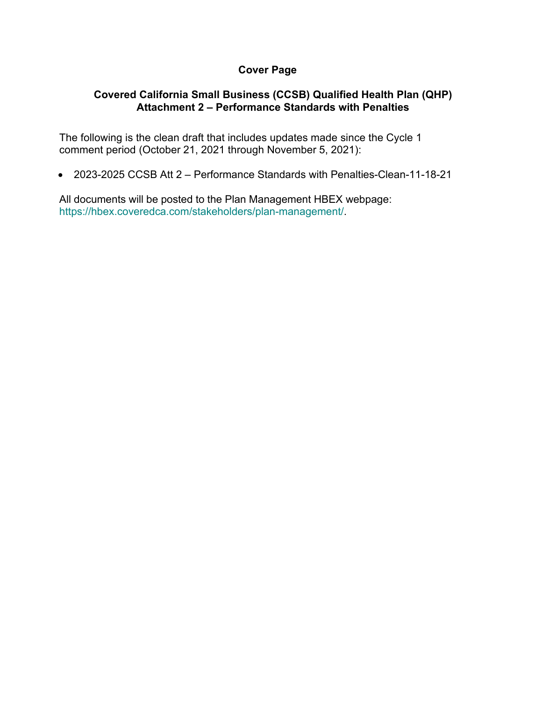# **Cover Page**

## **Covered California Small Business (CCSB) Qualified Health Plan (QHP) Attachment 2 – Performance Standards with Penalties**

The following is the clean draft that includes updates made since the Cycle 1 comment period (October 21, 2021 through November 5, 2021):

• 2023-2025 CCSB Att 2 – Performance Standards with Penalties-Clean-11-18-21

All documents will be posted to the Plan Management HBEX webpage: https://hbex.coveredca.com/stakeholders/plan-management/.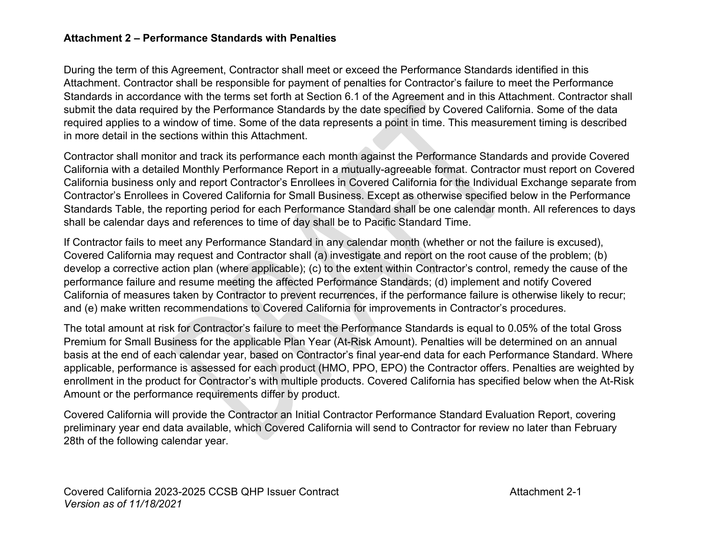#### **Attachment 2 – Performance Standards with Penalties**

During the term of this Agreement, Contractor shall meet or exceed the Performance Standards identified in this Attachment. Contractor shall be responsible for payment of penalties for Contractor's failure to meet the Performance Standards in accordance with the terms set forth at Section 6.1 of the Agreement and in this Attachment. Contractor shall submit the data required by the Performance Standards by the date specified by Covered California. Some of the data required applies to a window of time. Some of the data represents a point in time. This measurement timing is described in more detail in the sections within this Attachment.

Contractor shall monitor and track its performance each month against the Performance Standards and provide Covered California with a detailed Monthly Performance Report in a mutually-agreeable format. Contractor must report on Covered California business only and report Contractor's Enrollees in Covered California for the Individual Exchange separate from Contractor's Enrollees in Covered California for Small Business. Except as otherwise specified below in the Performance Standards Table, the reporting period for each Performance Standard shall be one calendar month. All references to days shall be calendar days and references to time of day shall be to Pacific Standard Time.

If Contractor fails to meet any Performance Standard in any calendar month (whether or not the failure is excused), Covered California may request and Contractor shall (a) investigate and report on the root cause of the problem; (b) develop a corrective action plan (where applicable); (c) to the extent within Contractor's control, remedy the cause of the performance failure and resume meeting the affected Performance Standards; (d) implement and notify Covered California of measures taken by Contractor to prevent recurrences, if the performance failure is otherwise likely to recur; and (e) make written recommendations to Covered California for improvements in Contractor's procedures.

The total amount at risk for Contractor's failure to meet the Performance Standards is equal to 0.05% of the total Gross Premium for Small Business for the applicable Plan Year (At-Risk Amount). Penalties will be determined on an annual basis at the end of each calendar year, based on Contractor's final year-end data for each Performance Standard. Where applicable, performance is assessed for each product (HMO, PPO, EPO) the Contractor offers. Penalties are weighted by enrollment in the product for Contractor's with multiple products. Covered California has specified below when the At-Risk Amount or the performance requirements differ by product.

Covered California will provide the Contractor an Initial Contractor Performance Standard Evaluation Report, covering preliminary year end data available, which Covered California will send to Contractor for review no later than February 28th of the following calendar year.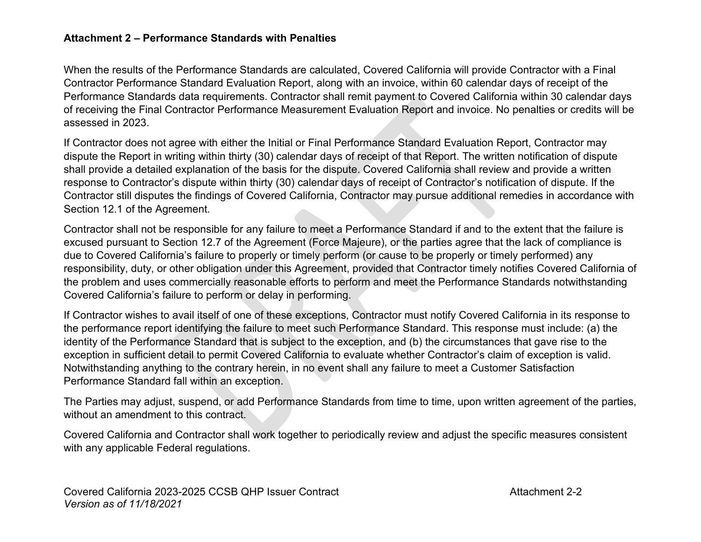#### **Attachment 2 – Performance Standards with Penalties**

When the results of the Performance Standards are calculated, Covered California will provide Contractor with a Final Contractor Performance Standard Evaluation Report, along with an invoice, within 60 calendar days of receipt of the Performance Standards data requirements. Contractor shall remit payment to Covered California within 30 calendar days of receiving the Final Contractor Performance Measurement Evaluation Report and invoice. No penalties or credits will be assessed in 2023.

If Contractor does not agree with either the Initial or Final Performance Standard Evaluation Report, Contractor may dispute the Report in writing within thirty (30) calendar days of receipt of that Report. The written notification of dispute shall provide a detailed explanation of the basis for the dispute. Covered California shall review and provide a written response to Contractor's dispute within thirty (30) calendar days of receipt of Contractor's notification of dispute. If the Contractor still disputes the findings of Covered California, Contractor may pursue additional remedies in accordance with Section 12.1 of the Agreement.

Contractor shall not be responsible for any failure to meet a Performance Standard if and to the extent that the failure is excused pursuant to Section 12.7 of the Agreement (Force Majeure), or the parties agree that the lack of compliance is due to Covered California's failure to properly or timely perform (or cause to be properly or timely performed) any responsibility, duty, or other obligation under this Agreement, provided that Contractor timely notifies Covered California of the problem and uses commercially reasonable efforts to perform and meet the Performance Standards notwithstanding Covered California's failure to perform or delay in performing.

If Contractor wishes to avail itself of one of these exceptions, Contractor must notify Covered California in its response to the performance report identifying the failure to meet such Performance Standard. This response must include: (a) the identity of the Performance Standard that is subject to the exception, and (b) the circumstances that gave rise to the exception in sufficient detail to permit Covered California to evaluate whether Contractor's claim of exception is valid. Notwithstanding anything to the contrary herein, in no event shall any failure to meet a Customer Satisfaction Performance Standard fall within an exception.

The Parties may adjust, suspend, or add Performance Standards from time to time, upon written agreement of the parties, without an amendment to this contract.

Covered California and Contractor shall work together to periodically review and adjust the specific measures consistent with any applicable Federal regulations.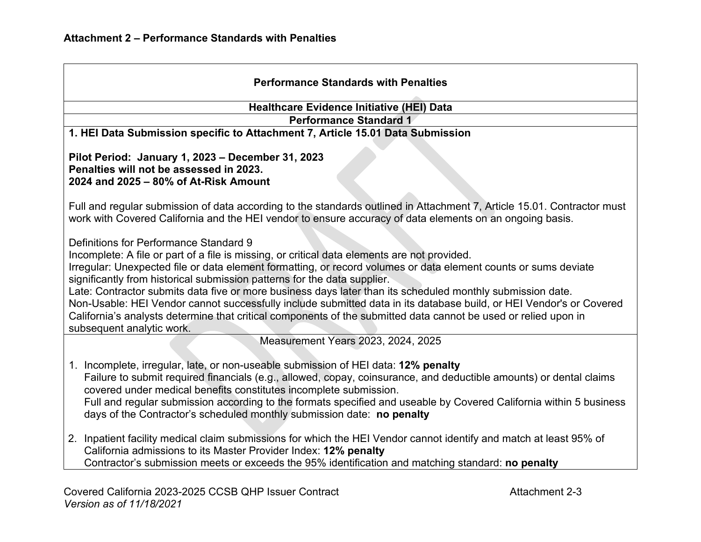| <b>Performance Standards with Penalties</b>                                                                                                                                                                                                                                                                                                                                                                                                                                                                                                                                                                                                                                                                                |  |  |
|----------------------------------------------------------------------------------------------------------------------------------------------------------------------------------------------------------------------------------------------------------------------------------------------------------------------------------------------------------------------------------------------------------------------------------------------------------------------------------------------------------------------------------------------------------------------------------------------------------------------------------------------------------------------------------------------------------------------------|--|--|
| <b>Healthcare Evidence Initiative (HEI) Data</b>                                                                                                                                                                                                                                                                                                                                                                                                                                                                                                                                                                                                                                                                           |  |  |
| <b>Performance Standard 1</b>                                                                                                                                                                                                                                                                                                                                                                                                                                                                                                                                                                                                                                                                                              |  |  |
| 1. HEI Data Submission specific to Attachment 7, Article 15.01 Data Submission                                                                                                                                                                                                                                                                                                                                                                                                                                                                                                                                                                                                                                             |  |  |
| Pilot Period: January 1, 2023 - December 31, 2023<br>Penalties will not be assessed in 2023.<br>2024 and 2025 - 80% of At-Risk Amount                                                                                                                                                                                                                                                                                                                                                                                                                                                                                                                                                                                      |  |  |
| Full and regular submission of data according to the standards outlined in Attachment 7, Article 15.01. Contractor must<br>work with Covered California and the HEI vendor to ensure accuracy of data elements on an ongoing basis.                                                                                                                                                                                                                                                                                                                                                                                                                                                                                        |  |  |
| Definitions for Performance Standard 9<br>Incomplete: A file or part of a file is missing, or critical data elements are not provided.<br>Irregular: Unexpected file or data element formatting, or record volumes or data element counts or sums deviate<br>significantly from historical submission patterns for the data supplier.<br>Late: Contractor submits data five or more business days later than its scheduled monthly submission date.<br>Non-Usable: HEI Vendor cannot successfully include submitted data in its database build, or HEI Vendor's or Covered<br>California's analysts determine that critical components of the submitted data cannot be used or relied upon in<br>subsequent analytic work. |  |  |
| Measurement Years 2023, 2024, 2025                                                                                                                                                                                                                                                                                                                                                                                                                                                                                                                                                                                                                                                                                         |  |  |
| Incomplete, irregular, late, or non-useable submission of HEI data: 12% penalty<br>$1_{-}$<br>Failure to submit required financials (e.g., allowed, copay, coinsurance, and deductible amounts) or dental claims<br>covered under medical benefits constitutes incomplete submission.<br>Full and regular submission according to the formats specified and useable by Covered California within 5 business<br>days of the Contractor's scheduled monthly submission date: no penalty                                                                                                                                                                                                                                      |  |  |
| 2. Inpatient facility medical claim submissions for which the HEI Vendor cannot identify and match at least 95% of<br>California admissions to its Master Provider Index: 12% penalty<br>Contractor's submission meets or exceeds the 95% identification and matching standard: no penalty                                                                                                                                                                                                                                                                                                                                                                                                                                 |  |  |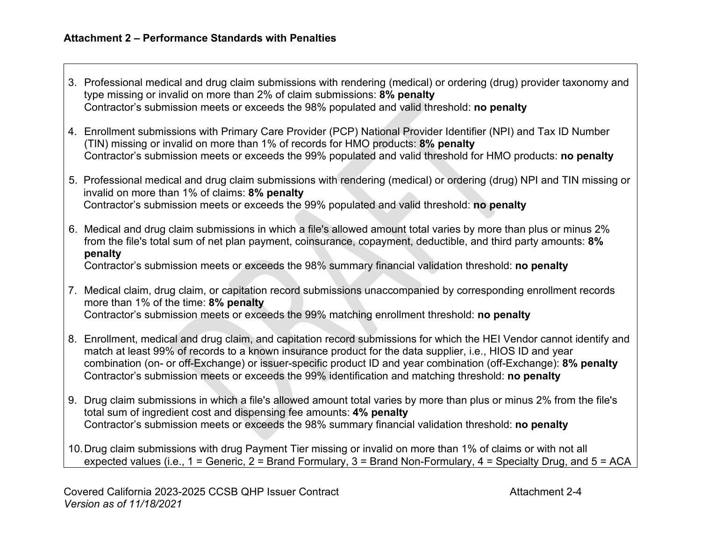- 3. Professional medical and drug claim submissions with rendering (medical) or ordering (drug) provider taxonomy and type missing or invalid on more than 2% of claim submissions: **8% penalty** Contractor's submission meets or exceeds the 98% populated and valid threshold: **no penalty**
- 4. Enrollment submissions with Primary Care Provider (PCP) National Provider Identifier (NPI) and Tax ID Number (TIN) missing or invalid on more than 1% of records for HMO products: **8% penalty** Contractor's submission meets or exceeds the 99% populated and valid threshold for HMO products: **no penalty**
- 5. Professional medical and drug claim submissions with rendering (medical) or ordering (drug) NPI and TIN missing or invalid on more than 1% of claims: **8% penalty** Contractor's submission meets or exceeds the 99% populated and valid threshold: **no penalty**
- 6. Medical and drug claim submissions in which a file's allowed amount total varies by more than plus or minus 2% from the file's total sum of net plan payment, coinsurance, copayment, deductible, and third party amounts: **8% penalty**

Contractor's submission meets or exceeds the 98% summary financial validation threshold: **no penalty**

- 7. Medical claim, drug claim, or capitation record submissions unaccompanied by corresponding enrollment records more than 1% of the time: **8% penalty** Contractor's submission meets or exceeds the 99% matching enrollment threshold: **no penalty**
- 8. Enrollment, medical and drug claim, and capitation record submissions for which the HEI Vendor cannot identify and match at least 99% of records to a known insurance product for the data supplier, i.e., HIOS ID and year combination (on- or off-Exchange) or issuer-specific product ID and year combination (off-Exchange): **8% penalty** Contractor's submission meets or exceeds the 99% identification and matching threshold: **no penalty**
- 9. Drug claim submissions in which a file's allowed amount total varies by more than plus or minus 2% from the file's total sum of ingredient cost and dispensing fee amounts: **4% penalty** Contractor's submission meets or exceeds the 98% summary financial validation threshold: **no penalty**
- 10.Drug claim submissions with drug Payment Tier missing or invalid on more than 1% of claims or with not all expected values (i.e., 1 = Generic, 2 = Brand Formulary, 3 = Brand Non-Formulary, 4 = Specialty Drug, and 5 = ACA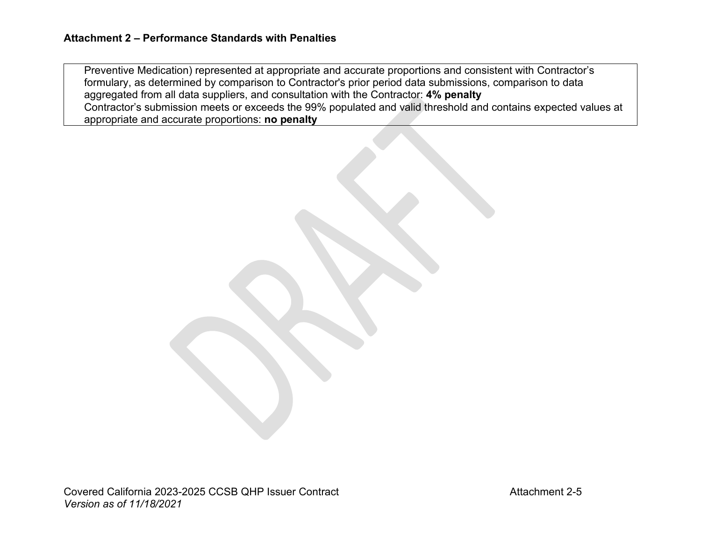Preventive Medication) represented at appropriate and accurate proportions and consistent with Contractor's formulary, as determined by comparison to Contractor's prior period data submissions, comparison to data aggregated from all data suppliers, and consultation with the Contractor: **4% penalty** Contractor's submission meets or exceeds the 99% populated and valid threshold and contains expected values at appropriate and accurate proportions: **no penalty**

Covered California 2023-2025 CCSB QHP Issuer Contract Contract Attachment 2-5 *Version as of 11/18/2021*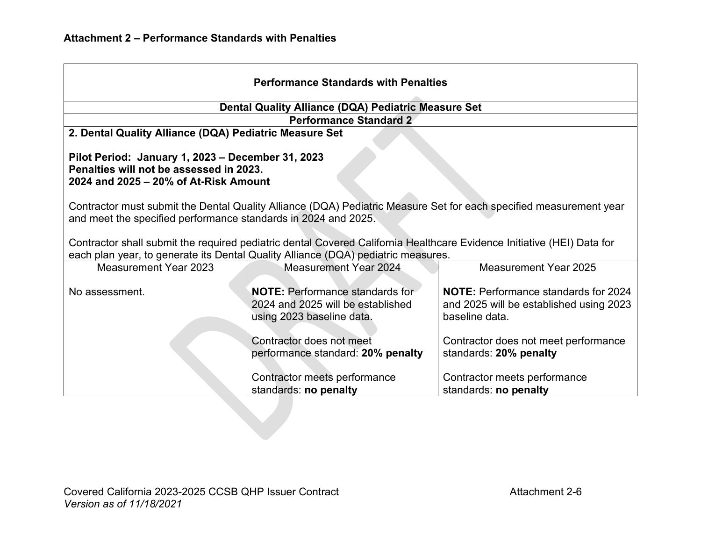| <b>Performance Standards with Penalties</b>                                                                                                                                                                                                                                                                    |                                                                                                          |                                                                                                          |  |
|----------------------------------------------------------------------------------------------------------------------------------------------------------------------------------------------------------------------------------------------------------------------------------------------------------------|----------------------------------------------------------------------------------------------------------|----------------------------------------------------------------------------------------------------------|--|
| Dental Quality Alliance (DQA) Pediatric Measure Set                                                                                                                                                                                                                                                            |                                                                                                          |                                                                                                          |  |
| <b>Performance Standard 2</b>                                                                                                                                                                                                                                                                                  |                                                                                                          |                                                                                                          |  |
| 2. Dental Quality Alliance (DQA) Pediatric Measure Set                                                                                                                                                                                                                                                         |                                                                                                          |                                                                                                          |  |
| Pilot Period: January 1, 2023 - December 31, 2023<br>Penalties will not be assessed in 2023.<br>2024 and 2025 - 20% of At-Risk Amount                                                                                                                                                                          |                                                                                                          |                                                                                                          |  |
| Contractor must submit the Dental Quality Alliance (DQA) Pediatric Measure Set for each specified measurement year<br>and meet the specified performance standards in 2024 and 2025.<br>Contractor shall submit the required pediatric dental Covered California Healthcare Evidence Initiative (HEI) Data for |                                                                                                          |                                                                                                          |  |
| each plan year, to generate its Dental Quality Alliance (DQA) pediatric measures.                                                                                                                                                                                                                              |                                                                                                          |                                                                                                          |  |
| <b>Measurement Year 2023</b>                                                                                                                                                                                                                                                                                   | <b>Measurement Year 2024</b>                                                                             | <b>Measurement Year 2025</b>                                                                             |  |
| No assessment.                                                                                                                                                                                                                                                                                                 | <b>NOTE:</b> Performance standards for<br>2024 and 2025 will be established<br>using 2023 baseline data. | <b>NOTE:</b> Performance standards for 2024<br>and 2025 will be established using 2023<br>baseline data. |  |
|                                                                                                                                                                                                                                                                                                                | Contractor does not meet<br>performance standard: 20% penalty                                            | Contractor does not meet performance<br>standards: 20% penalty                                           |  |
|                                                                                                                                                                                                                                                                                                                | Contractor meets performance<br>standards: no penalty                                                    | Contractor meets performance<br>standards: no penalty                                                    |  |